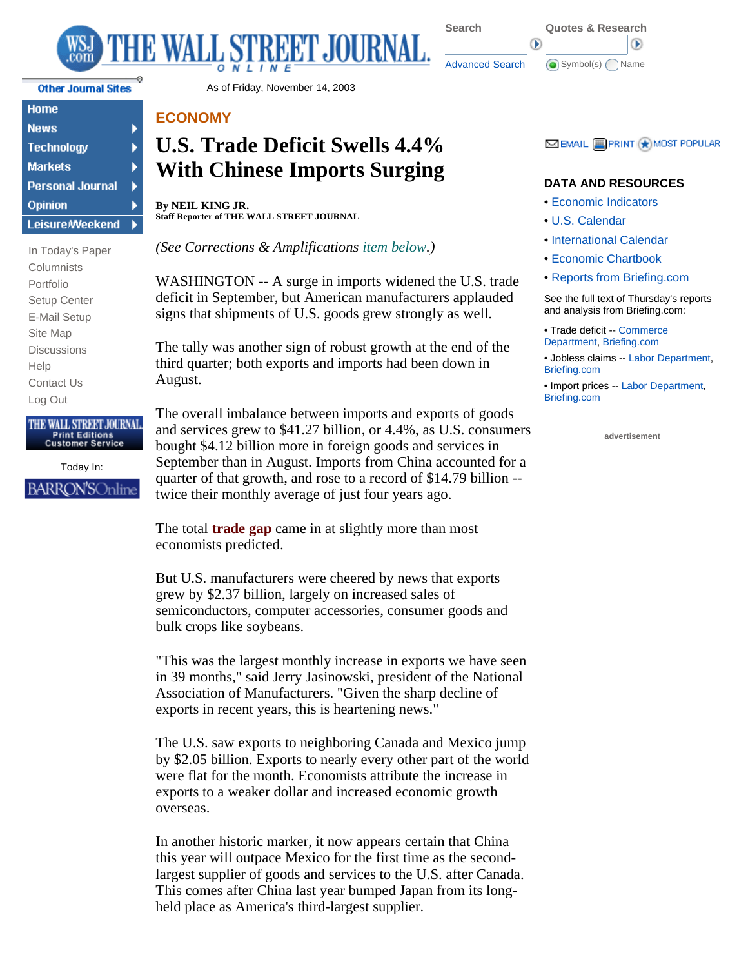

Home **News Technology Markets Personal Journal** Opinion **Leisure/Weekend** 

▶

In Today's Paper **Columnists** Portfolio Setup Center E-Mail Setup Site Map **Discussions** Help Contact Us Log Out

#### THE WALL STREET JOURNAL. **Print Editions Customer Service**

Today In: BARRON'SOnline

Other Journal Sites **As of Friday**, November 14, 2003

## **ECONOMY**

# **U.S. Trade Deficit Swells 4.4% With Chinese Imports Surging**

**By NEIL KING JR. Staff Reporter of THE WALL STREET JOURNAL**

*(See Corrections & Amplifications item below.)*

WASHINGTON -- A surge in imports widened the U.S. trade deficit in September, but American manufacturers applauded signs that shipments of U.S. goods grew strongly as well.

The tally was another sign of robust growth at the end of the third quarter; both exports and imports had been down in August.

The overall imbalance between imports and exports of goods and services grew to \$41.27 billion, or 4.4%, as U.S. consumers bought \$4.12 billion more in foreign goods and services in September than in August. Imports from China accounted for a quarter of that growth, and rose to a record of \$14.79 billion - twice their monthly average of just four years ago.

The total **trade gap** came in at slightly more than most economists predicted.

But U.S. manufacturers were cheered by news that exports grew by \$2.37 billion, largely on increased sales of semiconductors, computer accessories, consumer goods and bulk crops like soybeans.

"This was the largest monthly increase in exports we have seen in 39 months," said Jerry Jasinowski, president of the National Association of Manufacturers. "Given the sharp decline of exports in recent years, this is heartening news."

The U.S. saw exports to neighboring Canada and Mexico jump by \$2.05 billion. Exports to nearly every other part of the world were flat for the month. Economists attribute the increase in exports to a weaker dollar and increased economic growth overseas.

In another historic marker, it now appears certain that China this year will outpace Mexico for the first time as the secondlargest supplier of goods and services to the U.S. after Canada. This comes after China last year bumped Japan from its longheld place as America's third-largest supplier.

## **EX EMAIL E PRINT ★ MOST POPULAR**

### **DATA AND RESOURCES**

- Economic Indicators
- U.S. Calendar
- International Calendar
- Economic Chartbook
- Reports from Briefing.com

See the full text of Thursday's reports and analysis from Briefing.com:

- • Trade deficit -- Commerce Department, Briefing.com
- Jobless claims -- Labor Department, Briefing.com

• Import prices -- Labor Department, Briefing.com

**advertisement**



Œ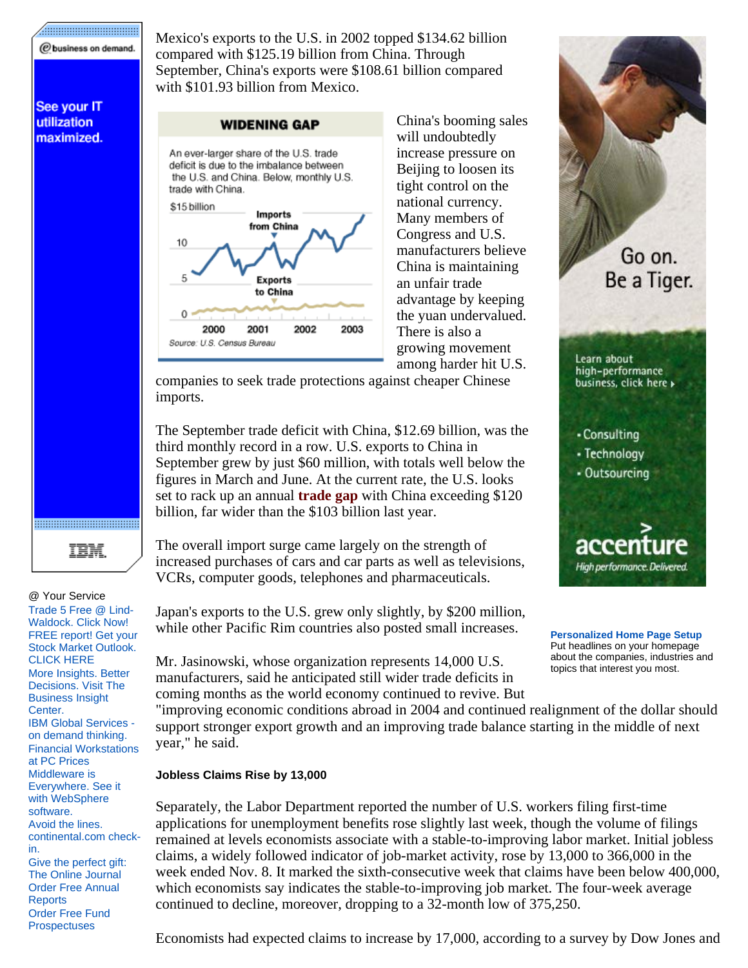#### ................................... @business on demand.

See your IT utilization maximized.

Mexico's exports to the U.S. in 2002 topped \$134.62 billion compared with \$125.19 billion from China. Through September, China's exports were \$108.61 billion compared with \$101.93 billion from Mexico.

#### **WIDENING GAP**



China's booming sales will undoubtedly increase pressure on Beijing to loosen its tight control on the national currency. Many members of Congress and U.S. manufacturers believe China is maintaining an unfair trade advantage by keeping the yuan undervalued. There is also a growing movement among harder hit U.S.

companies to seek trade protections against cheaper Chinese imports.

The September trade deficit with China, \$12.69 billion, was the third monthly record in a row. U.S. exports to China in September grew by just \$60 million, with totals well below the figures in March and June. At the current rate, the U.S. looks set to rack up an annual **trade gap** with China exceeding \$120 billion, far wider than the \$103 billion last year.

TEM.

#### @ Your Service

Trade 5 Free @ Lind-Waldock. Click Now! FREE report! Get your Stock Market Outlook. CLICK HERE More Insights. Better Decisions. Visit The Business Insight Center. IBM Global Services on demand thinking. Financial Workstations at PC Prices Middleware is Everywhere. See it with WebSphere software. Avoid the lines. continental.com checkin. Give the perfect gift: The Online Journal Order Free Annual **Reports** 

Order Free Fund **Prospectuses** 

The overall import surge came largely on the strength of increased purchases of cars and car parts as well as televisions, VCRs, computer goods, telephones and pharmaceuticals.

Japan's exports to the U.S. grew only slightly, by \$200 million, while other Pacific Rim countries also posted small increases.

Mr. Jasinowski, whose organization represents 14,000 U.S. manufacturers, said he anticipated still wider trade deficits in coming months as the world economy continued to revive. But



**Personalized Home Page Setup** Put headlines on your homepage about the companies, industries and topics that interest you most.

"improving economic conditions abroad in 2004 and continued realignment of the dollar should support stronger export growth and an improving trade balance starting in the middle of next year," he said.

#### **Jobless Claims Rise by 13,000**

Separately, the Labor Department reported the number of U.S. workers filing first-time applications for unemployment benefits rose slightly last week, though the volume of filings remained at levels economists associate with a stable-to-improving labor market. Initial jobless claims, a widely followed indicator of job-market activity, rose by 13,000 to 366,000 in the week ended Nov. 8. It marked the sixth-consecutive week that claims have been below 400,000, which economists say indicates the stable-to-improving job market. The four-week average continued to decline, moreover, dropping to a 32-month low of 375,250.

Economists had expected claims to increase by 17,000, according to a survey by Dow Jones and